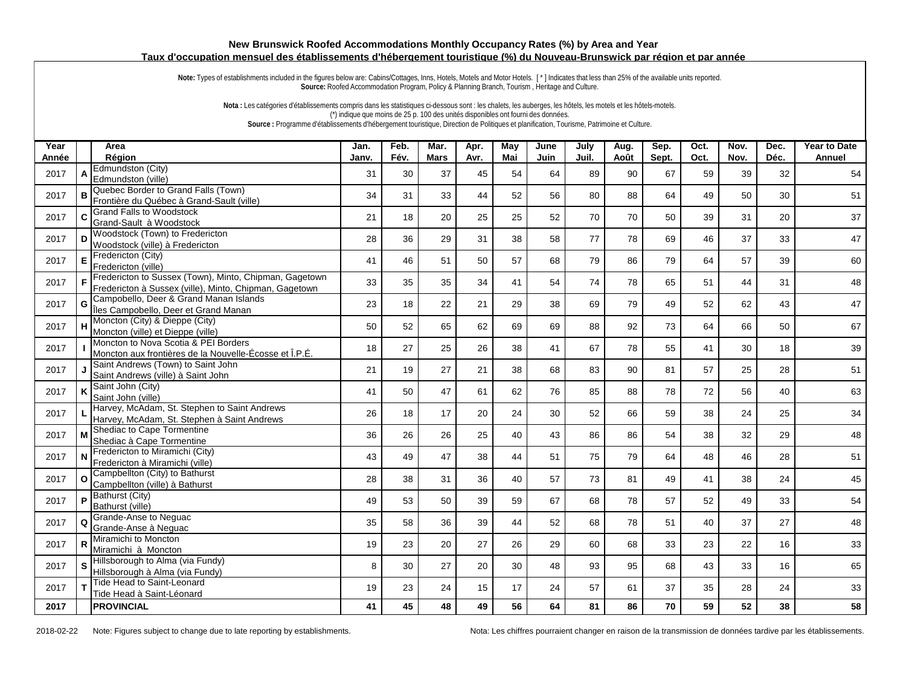## **New Brunswick Roofed Accommodations Monthly Occupancy Rates (%) by Area and Year Taux d'occupation mensuel des établissements d'hébergement touristique (%) du Nouveau-Brunswick par région et par année**

Note: Types of establishments included in the figures below are: Cabins/Cottages, Inns, Hotels, Motels and Motor Hotels. [\*] Indicates that less than 25% of the available units reported. **Source:** Roofed Accommodation Program, Policy & Planning Branch, Tourism , Heritage and Culture.

**Nota :** Les catégories d'établissements compris dans les statistiques ci-dessous sont : les chalets, les auberges, les hôtels, les motels et les hôtels-motels. (\*) indique que moins de 25 p. 100 des unités disponibles ont fourni des données. **Source :** Programme d'établissements d'hébergement touristique, Direction de Politiques et planification, Tourisme, Patrimoine et Culture.

| Year  |          | Area                                                                                                             | Jan.  | Feb. | Mar.        | Apr. | <b>May</b> | June | July  | Aug. | Sep.  | Oct. | Nov. | Dec. | <b>Year to Date</b> |
|-------|----------|------------------------------------------------------------------------------------------------------------------|-------|------|-------------|------|------------|------|-------|------|-------|------|------|------|---------------------|
| Année |          | Région                                                                                                           | Janv. | Fév. | <b>Mars</b> | Avr. | Mai        | Juin | Juil. | Août | Sept. | Oct. | Nov. | Déc. | Annuel              |
| 2017  | A        | Edmundston (City)<br>Edmundston (ville)                                                                          | 31    | 30   | 37          | 45   | 54         | 64   | 89    | 90   | 67    | 59   | 39   | 32   | 54                  |
| 2017  | B        | Quebec Border to Grand Falls (Town)<br>Frontière du Québec à Grand-Sault (ville)                                 | 34    | 31   | 33          | 44   | 52         | 56   | 80    | 88   | 64    | 49   | 50   | 30   | 51                  |
| 2017  |          | C Grand Falls to Woodstock<br>Grand-Sault à Woodstock                                                            | 21    | 18   | 20          | 25   | 25         | 52   | 70    | 70   | 50    | 39   | 31   | 20   | 37                  |
| 2017  | D        | Woodstock (Town) to Fredericton<br>Woodstock (ville) à Fredericton                                               | 28    | 36   | 29          | 31   | 38         | 58   | 77    | 78   | 69    | 46   | 37   | 33   | 47                  |
| 2017  |          | $E\left  \frac{\text{Frederiction (City)}}{\text{Ferderiction (City)}} \right $<br>Fredericton (ville)           | 41    | 46   | 51          | 50   | 57         | 68   | 79    | 86   | 79    | 64   | 57   | 39   | 60                  |
| 2017  | F        | Fredericton to Sussex (Town), Minto, Chipman, Gagetown<br>Fredericton à Sussex (ville), Minto, Chipman, Gagetown | 33    | 35   | 35          | 34   | 41         | 54   | 74    | 78   | 65    | 51   | 44   | 31   | 48                  |
| 2017  | G        | Campobello, Deer & Grand Manan Islands<br>Îles Campobello, Deer et Grand Manan                                   | 23    | 18   | 22          | 21   | 29         | 38   | 69    | 79   | 49    | 52   | 62   | 43   | 47                  |
| 2017  |          | H Moncton (City) & Dieppe (City)<br>Moncton (ville) et Dieppe (ville)                                            | 50    | 52   | 65          | 62   | 69         | 69   | 88    | 92   | 73    | 64   | 66   | 50   | 67                  |
| 2017  |          | Moncton to Nova Scotia & PEI Borders<br>Moncton aux frontières de la Nouvelle-Écosse et Î.P.É.                   | 18    | 27   | 25          | 26   | 38         | 41   | 67    | 78   | 55    | 41   | 30   | 18   | 39                  |
| 2017  |          | Saint Andrews (Town) to Saint John<br>Saint Andrews (ville) à Saint John                                         | 21    | 19   | 27          | 21   | 38         | 68   | 83    | 90   | 81    | 57   | 25   | 28   | 51                  |
| 2017  | K        | Saint John (City)<br>Saint John (ville)                                                                          | 41    | 50   | 47          | 61   | 62         | 76   | 85    | 88   | 78    | 72   | 56   | 40   | 63                  |
| 2017  |          | Harvey, McAdam, St. Stephen to Saint Andrews<br>Harvey, McAdam, St. Stephen à Saint Andrews                      | 26    | 18   | 17          | 20   | 24         | 30   | 52    | 66   | 59    | 38   | 24   | 25   | 34                  |
| 2017  | M        | Shediac to Cape Tormentine<br>Shediac à Cape Tormentine                                                          | 36    | 26   | 26          | 25   | 40         | 43   | 86    | 86   | 54    | 38   | 32   | 29   | 48                  |
| 2017  | N        | Fredericton to Miramichi (City)<br>Fredericton à Miramichi (ville)                                               | 43    | 49   | 47          | 38   | 44         | 51   | 75    | 79   | 64    | 48   | 46   | 28   | 51                  |
| 2017  |          | Campbellton (City) to Bathurst<br>Campbellton (ville) à Bathurst                                                 | 28    | 38   | 31          | 36   | 40         | 57   | 73    | 81   | 49    | 41   | 38   | 24   | 45                  |
| 2017  | P        | Bathurst (City)<br>Bathurst (ville)                                                                              | 49    | 53   | 50          | 39   | 59         | 67   | 68    | 78   | 57    | 52   | 49   | 33   | 54                  |
| 2017  | $\Omega$ | Grande-Anse to Neguac<br>Grande-Anse à Nequac                                                                    | 35    | 58   | 36          | 39   | 44         | 52   | 68    | 78   | 51    | 40   | 37   | 27   | 48                  |
| 2017  | R        | Miramichi to Moncton<br>Miramichi à Moncton                                                                      | 19    | 23   | 20          | 27   | 26         | 29   | 60    | 68   | 33    | 23   | 22   | 16   | 33                  |
| 2017  |          | Hillsborough to Alma (via Fundy)<br>Hillsborough à Alma (via Fundy)                                              | 8     | 30   | 27          | 20   | 30         | 48   | 93    | 95   | 68    | 43   | 33   | 16   | 65                  |
| 2017  |          | Tide Head to Saint-Leonard<br>Tide Head à Saint-Léonard                                                          | 19    | 23   | 24          | 15   | 17         | 24   | 57    | 61   | 37    | 35   | 28   | 24   | 33                  |
| 2017  |          | <b>PROVINCIAL</b>                                                                                                | 41    | 45   | 48          | 49   | 56         | 64   | 81    | 86   | 70    | 59   | 52   | 38   | 58                  |

2018-02-22 Note: Figures subject to change due to late reporting by establishments. Nota: Les chiffres pourraient changer en raison de la transmission de données tardive par les établissements.